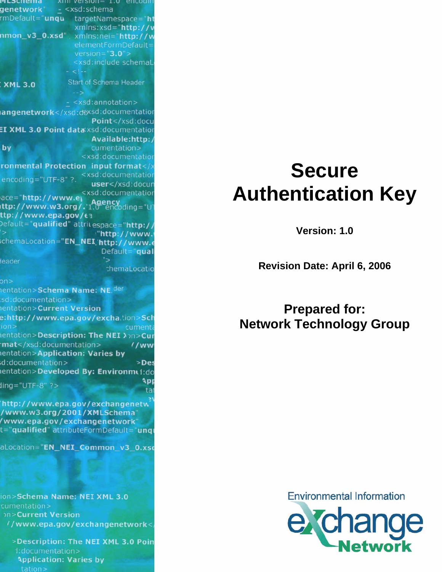#### мгэспента  $x$ <sub>1111</sub> version =  $1.0$  encount genetwork"  $- < xsd:$ schema mDefault="unqu targetNamespace="ht xmlns:xsd="<mark>http://v</mark><br>**nmon\_v3\_0.xsd**",\_x<u>mlns:nei</u>="http://w  $version="3.0"$ <xsd:include schemaL Start of Schema Header **XML 3.0** - <xsd:annotation> angenetwork</xsd:doxsd:documentation Point</xsd:docu EI XML 3.0 Point dataxsd:documentation Available:http: by cumentation> <xsd:documentatio ronmental Protection input format</ <xsd:documentation encoding="UTF-8" ?. user</xsd:docun <xsd:documentatior ace="http://www.e<sub>l</sub> **\gency**<br>0" encoding="U ittp://www.w3.org/.'1. ttp://www.e<mark>pa.gov/</mark>€३ Default="qualified" attrit espace="http:/ "http://www. schemaLocation="EN\_NEI\_'http://www.e Default="qual leader chemaLocatio on> nentation>Schema Name: NE. der sd:documentation> entation>Current Version e:http://www.epa.gov/excha.tion>Sch cument **nentation>Description: The NEI >>n>Cur** mat</xsd:documentation>  $1/ww$ entation>Application: Varies by d:documentation> >Des entation>Developed By: Environme1:do ۹pı  $\lim_{g}$ ="UTF-8" ?> http://www.epa.gov/exchangenetw /www.w3.org/2001/XMLSchema" /www.epa.gov/exchangenetwork" t="qualified" attributeFormDefault="unqi aLocation="EN\_NEI\_Common\_v3\_0.xsc

ion>Schema Name: NEI XML 3.0 cumentation>

**hn>Current Version** //www.epa.gov/exchangenetwork<

>Description: The NEI XML 3.0 Poin d:documentation> **Application: Varies by** 

# **Secure Authentication Key**

**Version: 1.0** 

**Revision Date: April 6, 2006** 

# **Prepared for: Network Technology Group**

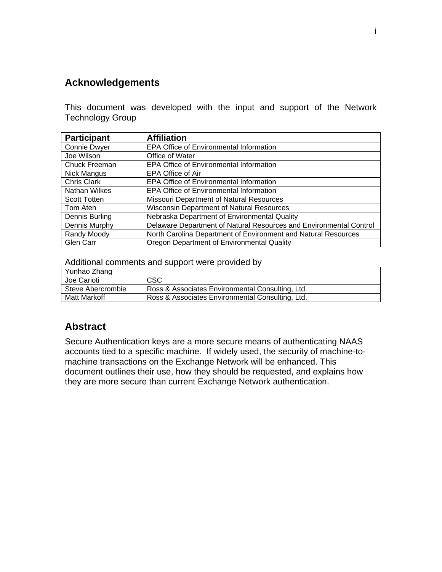### <span id="page-1-0"></span>**Acknowledgements**

This document was developed with the input and support of the Network Technology Group

| <b>Participant</b>  | <b>Affiliation</b>                                                 |
|---------------------|--------------------------------------------------------------------|
| Connie Dwyer        | EPA Office of Environmental Information                            |
| Joe Wilson          | Office of Water                                                    |
| Chuck Freeman       | <b>EPA Office of Environmental Information</b>                     |
| Nick Mangus         | EPA Office of Air                                                  |
| Chris Clark         | EPA Office of Environmental Information                            |
| Nathan Wilkes       | EPA Office of Environmental Information                            |
| <b>Scott Totten</b> | Missouri Department of Natural Resources                           |
| Tom Aten            | <b>Wisconsin Department of Natural Resources</b>                   |
| Dennis Burling      | Nebraska Department of Environmental Quality                       |
| Dennis Murphy       | Delaware Department of Natural Resources and Environmental Control |
| Randy Moody         | North Carolina Department of Environment and Natural Resources     |
| <b>Glen Carr</b>    | Oregon Department of Environmental Quality                         |

Additional comments and support were provided by

| Yunhao Zhang      |                                                  |
|-------------------|--------------------------------------------------|
| Joe Carioti       | <b>CSC</b>                                       |
| Steve Abercrombie | Ross & Associates Environmental Consulting, Ltd. |
| Matt Markoff      | Ross & Associates Environmental Consulting, Ltd. |

#### **Abstract**

Secure Authentication keys are a more secure means of authenticating NAAS accounts tied to a specific machine. If widely used, the security of machine-tomachine transactions on the Exchange Network will be enhanced. This document outlines their use, how they should be requested, and explains how they are more secure than current Exchange Network authentication.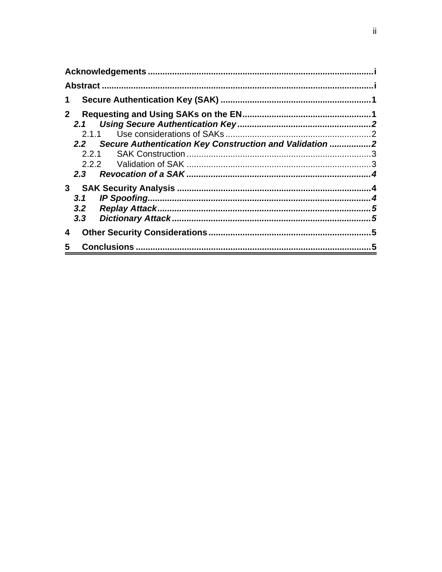| 1            |                                                                               |  |
|--------------|-------------------------------------------------------------------------------|--|
| $\mathbf{2}$ | 2.1.1<br>2.2 Secure Authentication Key Construction and Validation 2<br>2.2.1 |  |
|              |                                                                               |  |
| 4            |                                                                               |  |
| 5            | 5                                                                             |  |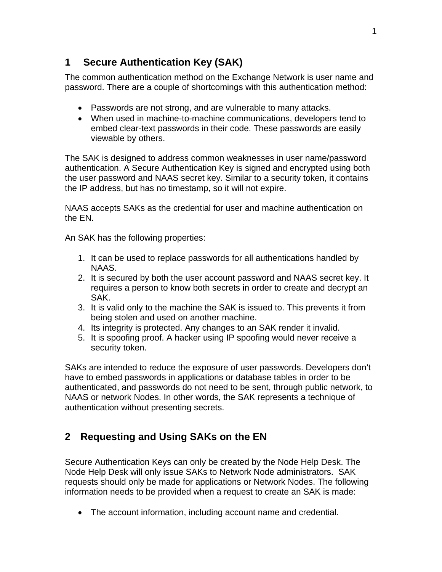## <span id="page-3-0"></span>**1 Secure Authentication Key (SAK)**

The common authentication method on the Exchange Network is user name and password. There are a couple of shortcomings with this authentication method:

- Passwords are not strong, and are vulnerable to many attacks.
- When used in machine-to-machine communications, developers tend to embed clear-text passwords in their code. These passwords are easily viewable by others.

The SAK is designed to address common weaknesses in user name/password authentication. A Secure Authentication Key is signed and encrypted using both the user password and NAAS secret key. Similar to a security token, it contains the IP address, but has no timestamp, so it will not expire.

NAAS accepts SAKs as the credential for user and machine authentication on the EN.

An SAK has the following properties:

- 1. It can be used to replace passwords for all authentications handled by NAAS.
- 2. It is secured by both the user account password and NAAS secret key. It requires a person to know both secrets in order to create and decrypt an SAK.
- 3. It is valid only to the machine the SAK is issued to. This prevents it from being stolen and used on another machine.
- 4. Its integrity is protected. Any changes to an SAK render it invalid.
- 5. It is spoofing proof. A hacker using IP spoofing would never receive a security token.

SAKs are intended to reduce the exposure of user passwords. Developers don't have to embed passwords in applications or database tables in order to be authenticated, and passwords do not need to be sent, through public network, to NAAS or network Nodes. In other words, the SAK represents a technique of authentication without presenting secrets.

# **2 Requesting and Using SAKs on the EN**

Secure Authentication Keys can only be created by the Node Help Desk. The Node Help Desk will only issue SAKs to Network Node administrators. SAK requests should only be made for applications or Network Nodes. The following information needs to be provided when a request to create an SAK is made:

• The account information, including account name and credential.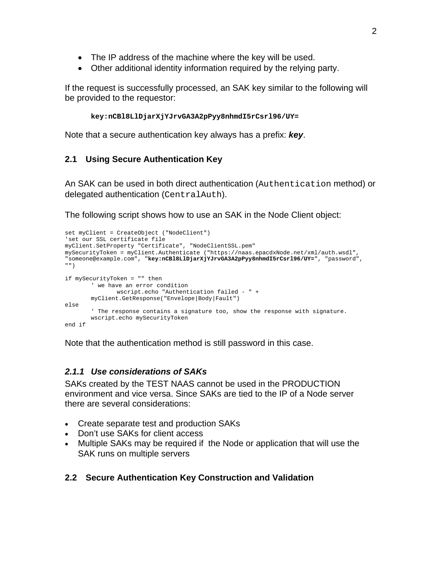- <span id="page-4-0"></span>• The IP address of the machine where the key will be used.
- Other additional identity information required by the relying party.

If the request is successfully processed, an SAK key similar to the following will be provided to the requestor:

```
key:nCBl8LlDjarXjYJrvGA3A2pPyy8nhmdI5rCsrl96/UY=
```
Note that a secure authentication key always has a prefix: *key*.

#### **2.1 Using Secure Authentication Key**

An SAK can be used in both direct authentication (Authentication method) or delegated authentication (CentralAuth).

The following script shows how to use an SAK in the Node Client object:

```
set myClient = CreateObject ("NodeClient") 
'set our SSL certificate file 
myClient.SetProperty "Certificate", "NodeClientSSL.pem" 
mySecurityToken = myClient.Authenticate ("https://naas.epacdxNode.net/xml/auth.wsdl", 
"someone@example.com", "key:nCBl8LlDjarXjYJrvGA3A2pPyy8nhmdI5rCsrl96/UY=", "password", 
"") 
if mySecurityToken = "" then 
        ' we have an error condition 
              wscript.echo "Authentication failed - " + 
       myClient.GetResponse("Envelope|Body|Fault") 
else 
        ' The response contains a signature too, show the response with signature. 
        wscript.echo mySecurityToken 
end if
```
Note that the authentication method is still password in this case.

#### *2.1.1 Use considerations of SAKs*

SAKs created by the TEST NAAS cannot be used in the PRODUCTION environment and vice versa. Since SAKs are tied to the IP of a Node server there are several considerations:

- Create separate test and production SAKs
- Don't use SAKs for client access
- Multiple SAKs may be required if the Node or application that will use the SAK runs on multiple servers

#### **2.2 Secure Authentication Key Construction and Validation**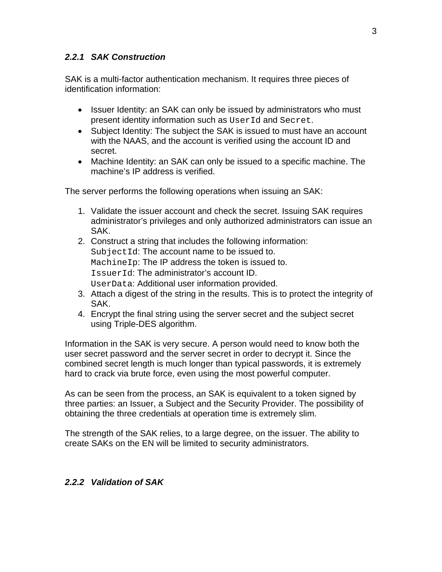#### <span id="page-5-0"></span>*2.2.1 SAK Construction*

SAK is a multi-factor authentication mechanism. It requires three pieces of identification information:

- Issuer Identity: an SAK can only be issued by administrators who must present identity information such as UserId and Secret.
- Subject Identity: The subject the SAK is issued to must have an account with the NAAS, and the account is verified using the account ID and secret.
- Machine Identity: an SAK can only be issued to a specific machine. The machine's IP address is verified.

The server performs the following operations when issuing an SAK:

- 1. Validate the issuer account and check the secret. Issuing SAK requires administrator's privileges and only authorized administrators can issue an SAK.
- 2. Construct a string that includes the following information: SubjectId: The account name to be issued to. MachineIp: The IP address the token is issued to. IssuerId: The administrator's account ID. UserData: Additional user information provided.
- 3. Attach a digest of the string in the results. This is to protect the integrity of SAK.
- 4. Encrypt the final string using the server secret and the subject secret using Triple-DES algorithm.

Information in the SAK is very secure. A person would need to know both the user secret password and the server secret in order to decrypt it. Since the combined secret length is much longer than typical passwords, it is extremely hard to crack via brute force, even using the most powerful computer.

As can be seen from the process, an SAK is equivalent to a token signed by three parties: an Issuer, a Subject and the Security Provider. The possibility of obtaining the three credentials at operation time is extremely slim.

The strength of the SAK relies, to a large degree, on the issuer. The ability to create SAKs on the EN will be limited to security administrators.

#### *2.2.2 Validation of SAK*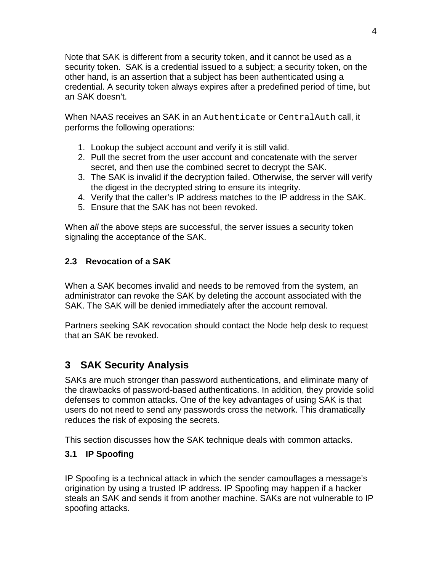<span id="page-6-0"></span>Note that SAK is different from a security token, and it cannot be used as a security token. SAK is a credential issued to a subject; a security token, on the other hand, is an assertion that a subject has been authenticated using a credential. A security token always expires after a predefined period of time, but an SAK doesn't.

When NAAS receives an SAK in an Authenticate or CentralAuth call, it performs the following operations:

- 1. Lookup the subject account and verify it is still valid.
- 2. Pull the secret from the user account and concatenate with the server secret, and then use the combined secret to decrypt the SAK.
- 3. The SAK is invalid if the decryption failed. Otherwise, the server will verify the digest in the decrypted string to ensure its integrity.
- 4. Verify that the caller's IP address matches to the IP address in the SAK.
- 5. Ensure that the SAK has not been revoked.

When *all* the above steps are successful, the server issues a security token signaling the acceptance of the SAK.

#### **2.3 Revocation of a SAK**

When a SAK becomes invalid and needs to be removed from the system, an administrator can revoke the SAK by deleting the account associated with the SAK. The SAK will be denied immediately after the account removal.

Partners seeking SAK revocation should contact the Node help desk to request that an SAK be revoked.

# **3 SAK Security Analysis**

SAKs are much stronger than password authentications, and eliminate many of the drawbacks of password-based authentications. In addition, they provide solid defenses to common attacks. One of the key advantages of using SAK is that users do not need to send any passwords cross the network. This dramatically reduces the risk of exposing the secrets.

This section discusses how the SAK technique deals with common attacks.

#### **3.1 IP Spoofing**

IP Spoofing is a technical attack in which the sender camouflages a message's origination by using a trusted IP address. IP Spoofing may happen if a hacker steals an SAK and sends it from another machine. SAKs are not vulnerable to IP spoofing attacks.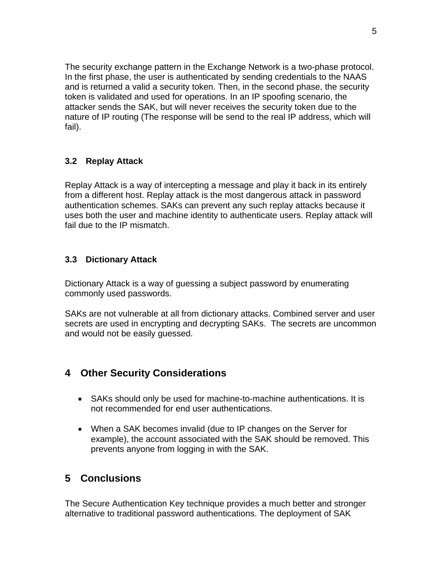<span id="page-7-0"></span>The security exchange pattern in the Exchange Network is a two-phase protocol. In the first phase, the user is authenticated by sending credentials to the NAAS and is returned a valid a security token. Then, in the second phase, the security token is validated and used for operations. In an IP spoofing scenario, the attacker sends the SAK, but will never receives the security token due to the nature of IP routing (The response will be send to the real IP address, which will fail).

#### **3.2 Replay Attack**

Replay Attack is a way of intercepting a message and play it back in its entirely from a different host. Replay attack is the most dangerous attack in password authentication schemes. SAKs can prevent any such replay attacks because it uses both the user and machine identity to authenticate users. Replay attack will fail due to the IP mismatch.

#### **3.3 Dictionary Attack**

Dictionary Attack is a way of guessing a subject password by enumerating commonly used passwords.

SAKs are not vulnerable at all from dictionary attacks. Combined server and user secrets are used in encrypting and decrypting SAKs. The secrets are uncommon and would not be easily guessed.

#### **4 Other Security Considerations**

- SAKs should only be used for machine-to-machine authentications. It is not recommended for end user authentications.
- When a SAK becomes invalid (due to IP changes on the Server for example), the account associated with the SAK should be removed. This prevents anyone from logging in with the SAK.

#### **5 Conclusions**

The Secure Authentication Key technique provides a much better and stronger alternative to traditional password authentications. The deployment of SAK